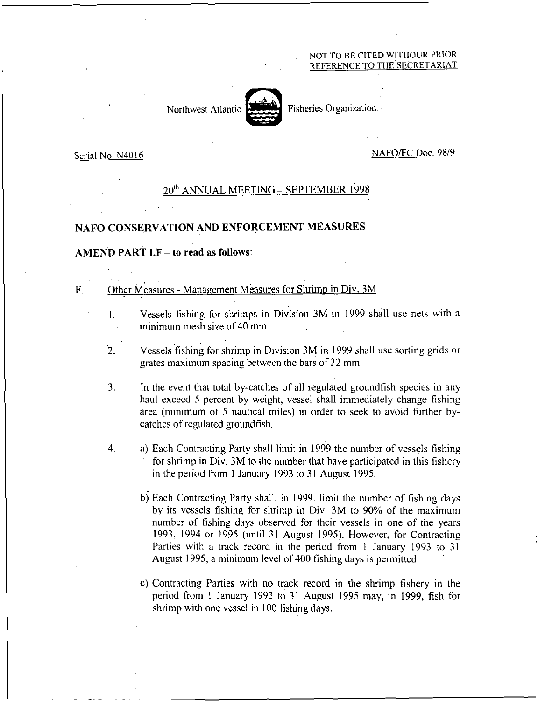#### NOT TO BE CITED WITHOUR PRIOR REFERENCE TO THE SECRETARIAT



Fisheries Organization,

#### Serial No. N4016

 $\mathbf{L}$ 

#### NAFO/FC Doc. 98/9

# 20<sup>th</sup> ANNUAL MEETING – SEPTEMBER 1998

### NAFO CONSERVATION AND ENFORCEMENT MEASURES

## AMEND PART I.F— to read as follows:

# F. Other Measures - Management Measures for Shrimp in Div. 3M

- Vessels fishing for shrimps in Division 3M in 1999 shall use nets with a minimum mesh size of 40 mm.
- $\overline{2}$ . Vessels fishing for shrimp in Division 3M in 1999 shall use sorting grids or grates maximum spacing between the bars of 22 mm.
- 3. In the event that total by-catches of all regulated groundfish species in any haul exceed 5 percent by weight, vessel shall immediately change fishing area (minimum of 5 nautical miles) in order to seek to avoid further bycatches of regulated groundfish.
- $4.$ a) Each Contracting Party shall limit in 1999 the number of vessels fishing for shrimp in Div. 3M to the number that have participated in this fishery in the period from I January 1993 to 31 August 1995.
	- b) Each Contracting Party shall, in 1999, limit the number of fishing days by its vessels fishing for shrimp in Div. 3M to 90% of the maximum number of fishing days observed for their vessels in one of the years 1993, 1994 or 1995 (until 31 August 1995). However, for Contracting Parties with a track record in the period from 1 January 1993 to 31 August 1995, a minimum level of 400 fishing days is permitted.
	- c) Contracting Parties with no track record in the shrimp fishery in the period from 1 January 1993 to 31 August 1995 may, in 1999, fish for shrimp with one vessel in 100 fishing days.